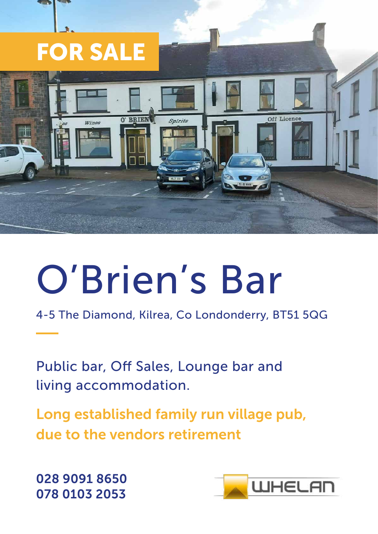

# O'Brien's Bar

4-5 The Diamond, Kilrea, Co Londonderry, BT51 5QG

Public bar, Off Sales, Lounge bar and living accommodation.

Long established family run village pub, due to the vendors retirement

028 9091 8650 078 0103 2053

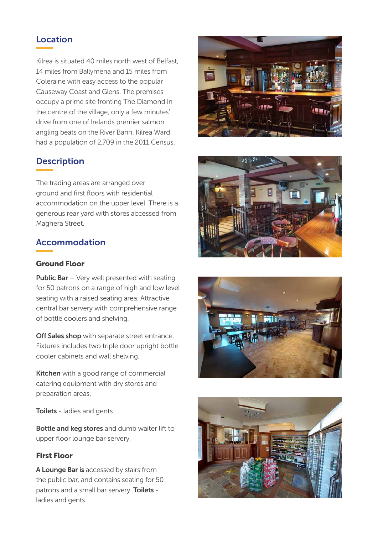#### Location

Kilrea is situated 40 miles north west of Belfast, 14 miles from Ballymena and 15 miles from Coleraine with easy access to the popular Causeway Coast and Glens. The premises occupy a prime site fronting The Diamond in the centre of the village, only a few minutes' drive from one of Irelands premier salmon angling beats on the River Bann. Kilrea Ward had a population of 2,709 in the 2011 Census.

# **Description**

The trading areas are arranged over ground and first floors with residential accommodation on the upper level. There is a generous rear yard with stores accessed from Maghera Street.

#### Accommodation

#### Ground Floor

**Public Bar** – Very well presented with seating for 50 patrons on a range of high and low level seating with a raised seating area. Attractive central bar servery with comprehensive range of bottle coolers and shelving.

Off Sales shop with separate street entrance. Fixtures includes two triple door upright bottle cooler cabinets and wall shelving.

Kitchen with a good range of commercial catering equipment with dry stores and preparation areas.

**Toilets** - ladies and gents

Bottle and keg stores and dumb waiter lift to upper floor lounge bar servery.

#### First Floor

A Lounge Bar is accessed by stairs from the public bar, and contains seating for 50 patrons and a small bar servery. Toilets ladies and gents.







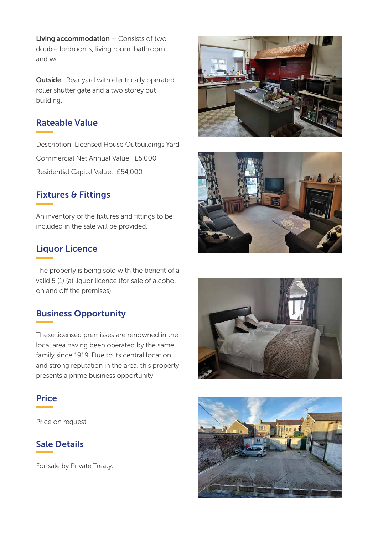Living accommodation - Consists of two double bedrooms, living room, bathroom and wc.

Outside- Rear yard with electrically operated roller shutter gate and a two storey out building.

#### Rateable Value

Description: Licensed House Outbuildings Yard Commercial Net Annual Value: £5,000 Residential Capital Value: £54,000

#### Fixtures & Fittings

An inventory of the fixtures and fittings to be included in the sale will be provided.

#### Liquor Licence

The property is being sold with the benefit of a valid 5 (1) (a) liquor licence (for sale of alcohol on and off the premises).

#### Business Opportunity

These licensed premisses are renowned in the local area having been operated by the same family since 1919. Due to its central location and strong reputation in the area, this property presents a prime business opportunity.



Price on request

#### Sale Details

For sale by Private Treaty.







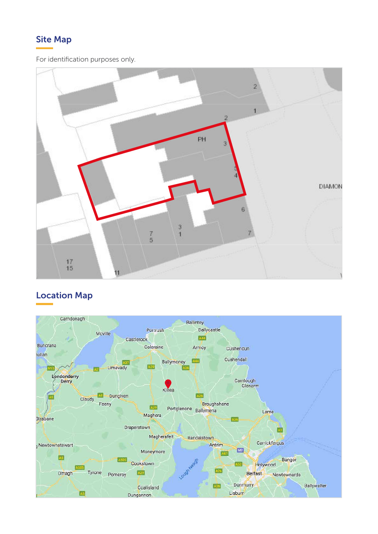## Site Map

For identification purposes only.



## Location Map